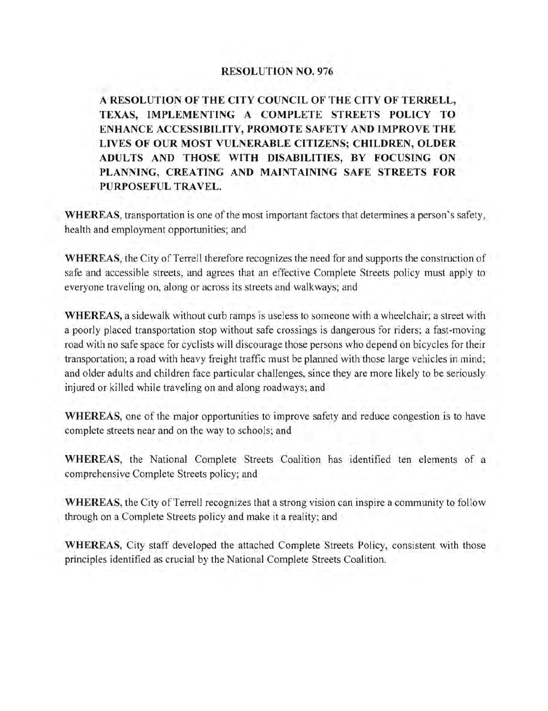# **RESOLUTION NO. 976**

**A RESOLUTION OF THE CITY COUNCIL OF THE CITY OF TERRELL, TEXAS, IMPLEMENTING A COMPLETE STREETS POLICY TO ENHANCE ACCESSIBILITY, PROMOTE SAFETY AND IMPROVE THE LIVES OF OUR MOST VULNERABLE CITIZENS; CHILDREN, OLDER ADUL TS AND THOSE WITH DISABILITIES, BY FOCUSING ON PLANNING, CREATING AND MAINTAINING SAFE STREETS FOR PURPOSEFUL TRAVEL.** 

**WHEREAS,** transportation is one of the most important factors that determines a person's safety, health and employment opportunities; and

**WHEREAS,** the City of Terrell therefore recognizes the need for and supports the construction of safe and accessible streets, and agrees that an effective Complete Streets policy must apply to everyone traveling on, along or across its streets and walkways; and

**WHEREAS,** a sidewalk without curb ramps is useless to someone with a wheelchair; a street with a poorly placed transportation stop without safe crossings is dangerous for riders; a fast-moving road with no safe space for cyclists will discourage those persons who depend on bicycles for their transportation; a road with heavy freight traffic must be planned with those large vehicles in mind; and older adults and children face particular challenges, since they are more likely to be seriously injured or killed while traveling on and along roadways; and

**WHEREAS,** one of the major opportunities to improve safety and reduce congestion is to have complete streets near and on the way to schools; and

**WHEREAS,** the National Complete Streets Coalition has identified ten elements of a comprehensive Complete Streets policy; and

**WHEREAS,** the City of Terrell recognizes that a strong vision can inspire a community to follow through on a Complete Streets policy and make it a reality; and

**WHEREAS,** City staff developed the attached Complete Streets Policy, consistent with those principles identified as crucial by the National Complete Streets Coalition.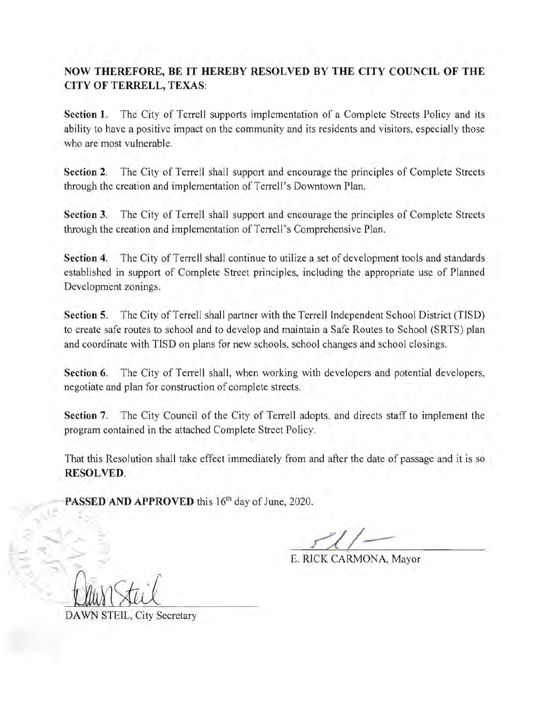# **NOW THEREFORE, BE IT HEREBY RESOLVED BY THE CITY COUNCIL OF THE CITY OF TERRELL,** TEXAS:

**Section 1.** The City of Terrell supports implementation of a Complete Streets Policy and its ability to have a positive impact on the community and its residents and visitors, especially those who are most vulnerable.

**Section** 2. The City of Terrell shall support and encourage the principles of Complete Streets through the creation and implementation of Terrell's Downtown Plan.

**Section** 3. The City of Terrell shall support and encourage the principles of Complete Streets through the creation and implementation of Terrell's Comprehensive Plan.

**Section** 4. The City of Terrell shall continue to utilize a set of development tools and standards established in support of Complete Street principles, including the appropriate use of Planned Development zonings.

**Section** 5. The City of Terrell shall partner with the Terrell Independent School District (TISD) to create safe routes to school and to develop and maintain a Safe Routes to School (SRTS) plan and coordinate with TISD on plans for new schools, school changes and school closings.

**Section** 6. The City of Terrell shall, when working with developers and potential developers, negotiate and plan for construction of complete streets.

**Section** 7. The City Council of the City of Terrell adopts, and directs staff to implement the program contained in the attached Complete Street Policy.

That this Resolution shall take effect immediately from and after the date of passage and it is so **RESOLVED.** 

PASSED AND APPROVED this 16<sup>th</sup> day of June, 2020.

E. RICK CARMONA, Mayor

DA WN STEIL, City Secretary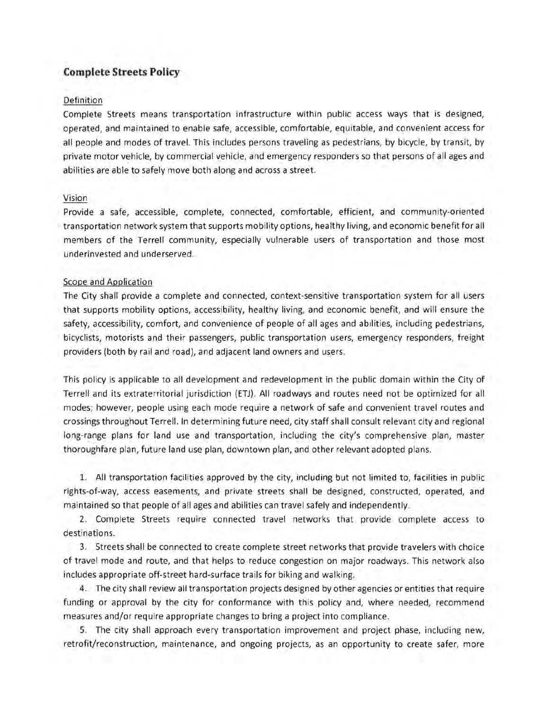# **Complete Streets Policy**

## Definition

Complete Streets means transportation infrastructure within public access ways that is designed, operated, and maintained to enable safe, accessible, comfortable, equitable, and convenient access for all people and modes of travel. This includes persons traveling as pedestrians, by bicycle, by transit, by private motor vehicle, by commercial vehicle, and emergency responders so that persons of all ages and abilities are able to safely move both along and across a street.

## Vision

Provide a safe, accessible, complete, connected, comfortable, efficient, and community-oriented transportation network system that supports mobility options, healthy living, and economic benefit for all members of the Terrell community, especially vulnerable users of transportation and those most underinvested and underserved.

#### Scope and Application

The City shall provide a complete and connected, context-sensitive transportation system for all users that supports mobility options, accessibility, healthy living, and economic benefit, and will ensure the safety, accessibility, comfort, and convenience of people of all ages and abilities, including pedestrians, bicyclists, motorists and their passengers, public transportation users, emergency responders, freight providers (both by rail and road), and adjacent land owners and users.

This policy is applicable to all development and redevelopment in the public domain within the City of Terrell and its extraterritorial jurisdiction (ETJ) . All roadways and routes need not be optimized for all modes; however, people using each mode require a network of safe and convenient travel routes and crOSSings throughout Terrell. In determining future need, city staff shall consult relevant city and regional long-range plans for land use and transportation, including the city's comprehensive plan, master thoroughfare plan, future land use plan, downtown plan, and other relevant adopted plans.

1. All transportation facilities approved by the city, including but not limited to, facilities in public rights-of-way, access easements, and private streets shall be designed, constructed, operated, and maintained so that people of all ages and abilities can travel safely and independently.

2. Complete Streets require connected travel networks that provide complete access to destinations.

3. Streets shall be connected to create complete street networks that provide travelers with choice of travel mode and route, and that helps to reduce congestion on major roadways. This network also includes appropriate off-street hard-surface trails for biking and walking.

4. The city shall review all transportation projects designed by other agencies or entities that require funding or approval by the city for conformance with this policy and, where needed, recommend measures and/or require appropriate changes to bring a project into compliance.

5. The city shall approach every transportation improvement and project phase, including new, retrofit/reconstruction, maintenance, and ongoing projects, as an opportunity to create safer, more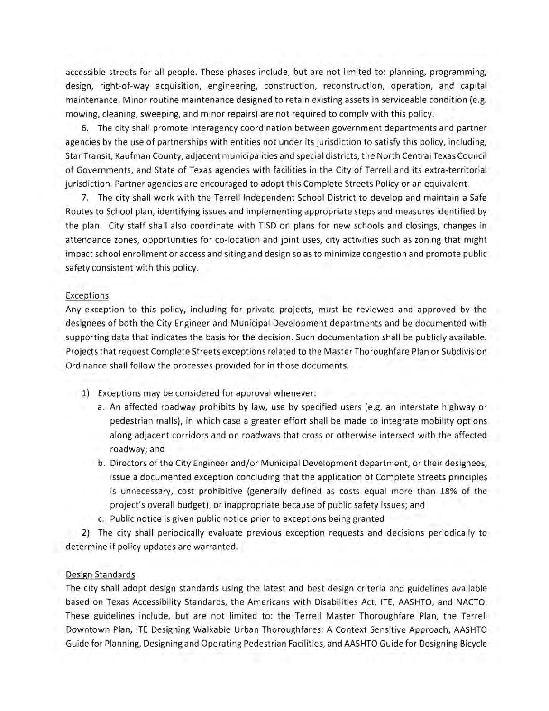accessible streets for all people. These phases include, but are not limited to: planning, programming, design, right-of-way acquisition, engineering, construction, reconstruction, operation, and capital maintenance. Minor routine maintenance designed to retain existing assets in serviceable condition (e.g. mowing, cleaning, sweeping, and minor repairs) are not required to comply with this policy.

6. The city shall promote interagency coordination between government departments and partner agencies by the use of partnerships with entities not under its jurisdiction to satisfy this policy, including, Star Transit, Kaufman County, adjacent municipalities and special districts, the North Central Texas Council of Governments, and State of Texas agencies with facilities in the City of Terrell and its extra-territorial jurisdiction. Partner agencies are encouraged to adopt this Complete Streets Policy or an equivalent.

7. The city shall work with the Terrell Independent School District to develop and maintain a Safe Routes to School plan, identifying issues and implementing appropriate steps and measures identified by the plan. City staff shall also coordinate with TISD on plans for new schools and closings, changes in attendance zones, opportunities for co-location and joint uses, city activities such as zoning that might impact school enrollment or access and siting and design so as to minimize congestion and promote public safety consistent with this policy.

## Exceptions

Any exception to this policy, including for private projects, must be reviewed and approved by the designees of both the City Engineer and Municipal Development departments and be documented with supporting data that indicates the basis for the decision. Such documentation shall be publicly available. Projects that request Complete Streets exceptions related to the Master Thoroughfare Plan or Subdivision Ordinance shall follow the processes provided for in those documents.

- 1) Exceptions may be considered for approval whenever:
	- a. An affected roadway prohibits by law, use by specified users (e.g. an interstate highway or pedestrian malls), in which case a greater effort shall be made to integrate mobility options along adjacent corridors and on roadways that cross or otherwise intersect with the affected roadway; and
	- b. Directors of the City Engineer and/or Municipal Development department, or their designees, issue a documented exception concluding that the application of Complete Streets principles is unnecessary, cost prohibitive (generally defined as costs equal more than 18% of the project's overall budget), or inappropriate because of public safety issues; and
	- c. Public notice is given public notice prior to exceptions being granted

2) The city shall periodically evaluate previous exception requests and decisions periodically to determine if policy updates are warranted.

# Design Standards

The city shall adopt design standards using the latest and best design criteria and guidelines available based on Texas Accessibility Standards, the Americans with Disabilities Act, ITE, AASHTO, and NACTO. These guidelines include, but are not limited to: the Terrell Master Thoroughfare Plan, the Terrell Downtown Plan, ITE Designing Walkable Urban Thoroughfares: A Context Sensitive Approach; AASHTO Guide for Planning, Designing and Operating Pedestrian Facilities, and AASHTO Guide for Designing Bicycle